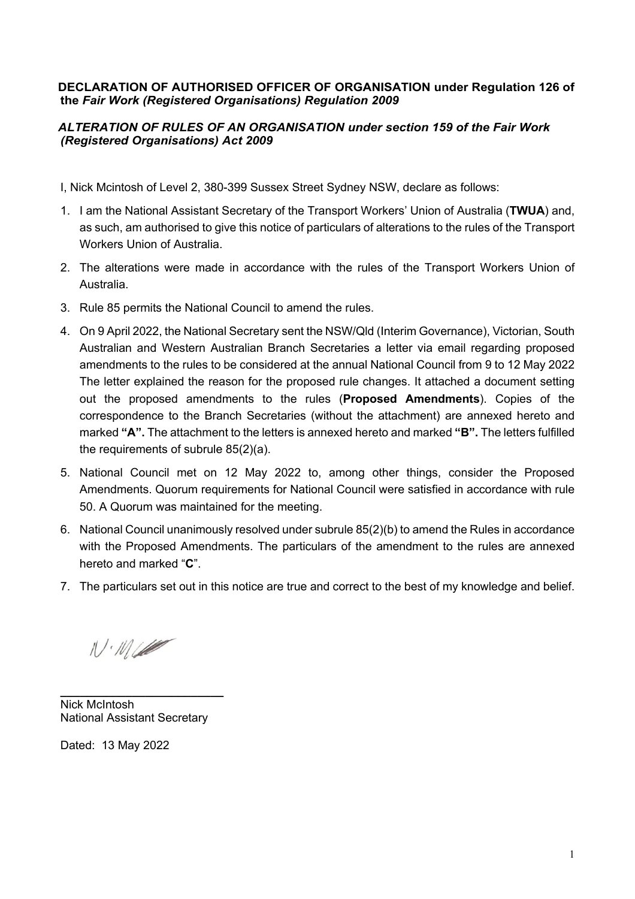## **DECLARATION OF AUTHORISED OFFICER OF ORGANISATION under Regulation 126 of the** *Fair Work (Registered Organisations) Regulation 2009*

## *ALTERATION OF RULES OF AN ORGANISATION under section 159 of the Fair Work (Registered Organisations) Act 2009*

I, Nick Mcintosh of Level 2, 380-399 Sussex Street Sydney NSW, declare as follows:

- 1. I am the National Assistant Secretary of the Transport Workers' Union of Australia (**TWUA**) and, as such, am authorised to give this notice of particulars of alterations to the rules of the Transport Workers Union of Australia.
- 2. The alterations were made in accordance with the rules of the Transport Workers Union of Australia.
- 3. Rule 85 permits the National Council to amend the rules.
- 4. On 9 April 2022, the National Secretary sent the NSW/Qld (Interim Governance), Victorian, South Australian and Western Australian Branch Secretaries a letter via email regarding proposed amendments to the rules to be considered at the annual National Council from 9 to 12 May 2022 The letter explained the reason for the proposed rule changes. It attached a document setting out the proposed amendments to the rules (**Proposed Amendments**). Copies of the correspondence to the Branch Secretaries (without the attachment) are annexed hereto and marked **"A".** The attachment to the letters is annexed hereto and marked **"B".** The letters fulfilled the requirements of subrule 85(2)(a).
- 5. National Council met on 12 May 2022 to, among other things, consider the Proposed Amendments. Quorum requirements for National Council were satisfied in accordance with rule 50. A Quorum was maintained for the meeting.
- 6. National Council unanimously resolved under subrule 85(2)(b) to amend the Rules in accordance with the Proposed Amendments. The particulars of the amendment to the rules are annexed hereto and marked "**C**".
- 7. The particulars set out in this notice are true and correct to the best of my knowledge and belief.

 $11.11$ 

**\_\_\_\_\_\_\_\_\_\_\_\_\_\_\_\_\_\_\_\_\_\_\_\_\_** Nick McIntosh National Assistant Secretary

Dated: 13 May 2022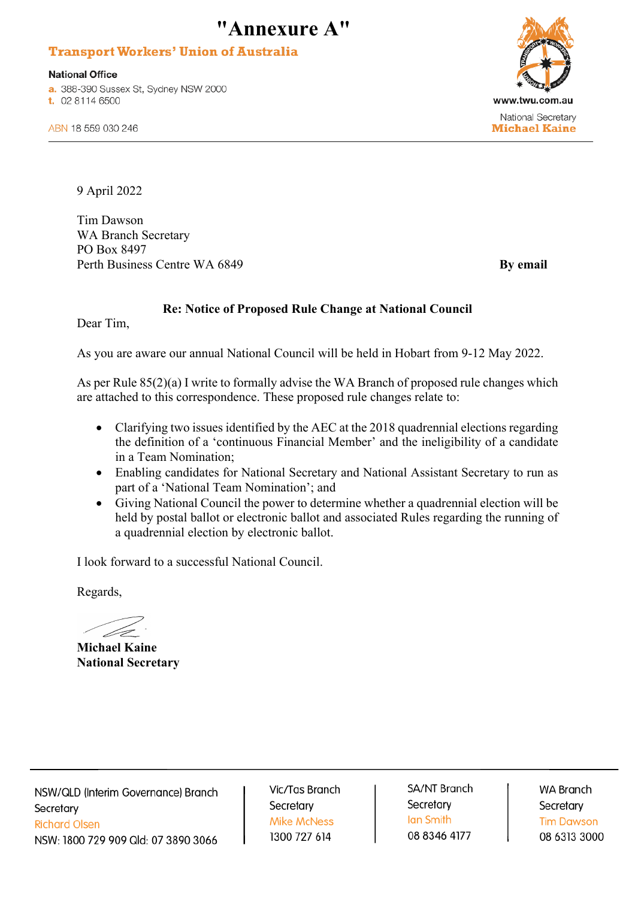# **"Annexure A"**

## **Transport Workers' Union of Australia**

**National Office** 

a. 388-390 Sussex St, Sydney NSW 2000 t. 02 8114 6500



ABN 18 559 030 246

9 April 2022

Tim Dawson WA Branch Secretary PO Box 8497 Perth Business Centre WA 6849 **By email** 

## **Re: Notice of Proposed Rule Change at National Council**

Dear Tim,

As you are aware our annual National Council will be held in Hobart from 9-12 May 2022.

As per Rule 85(2)(a) I write to formally advise the WA Branch of proposed rule changes which are attached to this correspondence. These proposed rule changes relate to:

- Clarifying two issues identified by the AEC at the 2018 quadrennial elections regarding the definition of a 'continuous Financial Member' and the ineligibility of a candidate in a Team Nomination;
- Enabling candidates for National Secretary and National Assistant Secretary to run as part of a 'National Team Nomination'; and
- Giving National Council the power to determine whether a quadrennial election will be held by postal ballot or electronic ballot and associated Rules regarding the running of a quadrennial election by electronic ballot.

I look forward to a successful National Council.

Regards,

**Michael Kaine National Secretary**

NSW/QLD (Interim Governance) Branch Secretary **Richard Olsen** NSW: 1800 729 909 Qld: 07 3890 3066

Vic/Tas Branch Secretary **Mike McNess** 1300 727 614

**SA/NT Branch** Secretary Ian Smith 08 8346 4177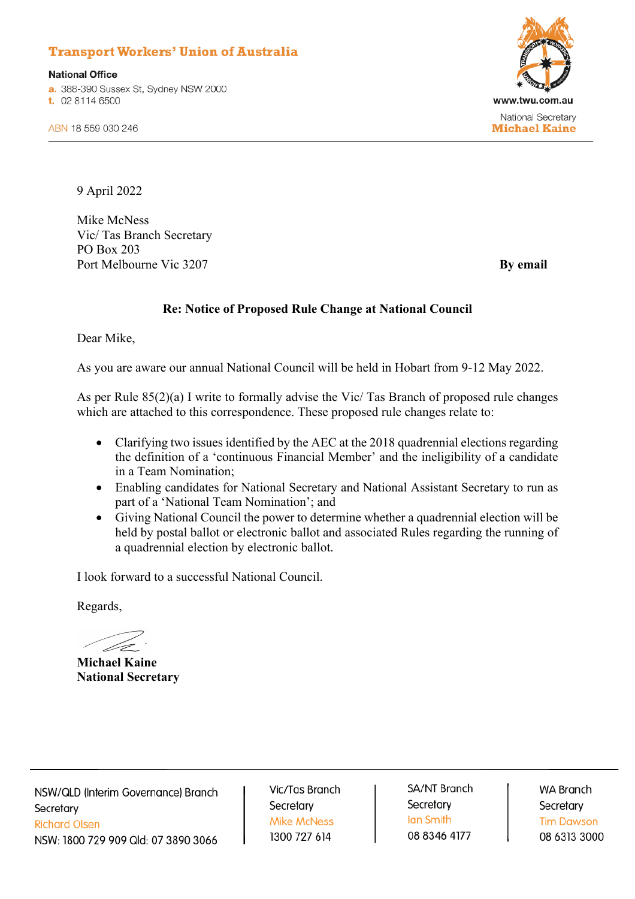# **Transport Workers' Union of Australia**

**National Office** a. 388-390 Sussex St, Sydney NSW 2000 t. 02 8114 6500



ABN 18 559 030 246

9 April 2022

Mike McNess Vic/ Tas Branch Secretary PO Box 203 Port Melbourne Vic 3207 **By email** 

#### **Re: Notice of Proposed Rule Change at National Council**

Dear Mike,

As you are aware our annual National Council will be held in Hobart from 9-12 May 2022.

As per Rule 85(2)(a) I write to formally advise the Vic/ Tas Branch of proposed rule changes which are attached to this correspondence. These proposed rule changes relate to:

- Clarifying two issues identified by the AEC at the 2018 quadrennial elections regarding the definition of a 'continuous Financial Member' and the ineligibility of a candidate in a Team Nomination;
- Enabling candidates for National Secretary and National Assistant Secretary to run as part of a 'National Team Nomination'; and
- Giving National Council the power to determine whether a quadrennial election will be held by postal ballot or electronic ballot and associated Rules regarding the running of a quadrennial election by electronic ballot.

I look forward to a successful National Council.

Regards,

**Michael Kaine National Secretary**

NSW/QLD (Interim Governance) Branch Secretary **Richard Olsen** NSW: 1800 729 909 Qld: 07 3890 3066

Vic/Tas Branch Secretary **Mike McNess** 1300 727 614

SA/NT Branch Secretary **Ian Smith** 08 8346 4177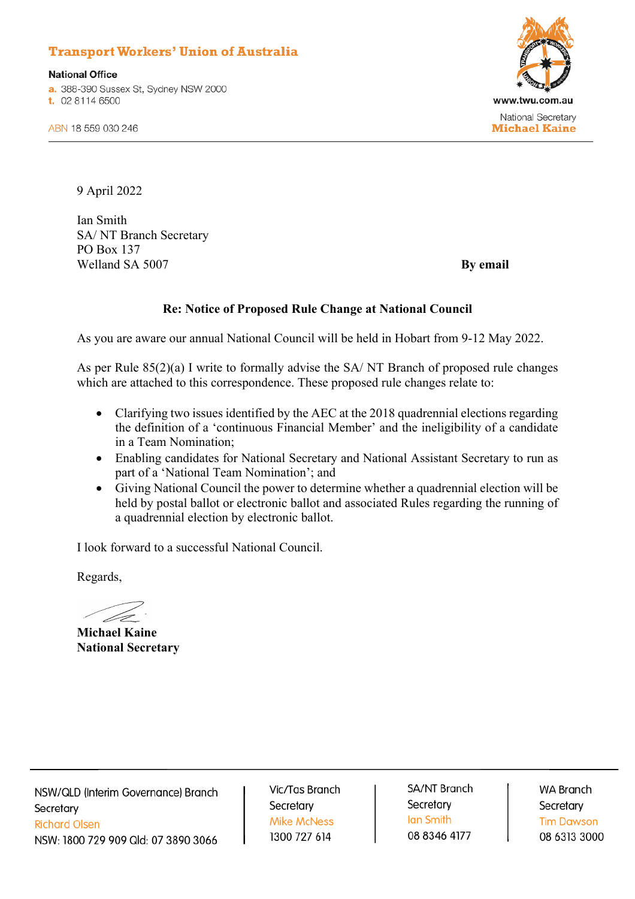# **Transport Workers' Union of Australia**

**National Office** a. 388-390 Sussex St, Sydney NSW 2000 t. 02 8114 6500



ABN 18 559 030 246

9 April 2022

Ian Smith SA/ NT Branch Secretary PO Box 137 Welland SA 5007 **By email** 

#### **Re: Notice of Proposed Rule Change at National Council**

As you are aware our annual National Council will be held in Hobart from 9-12 May 2022.

As per Rule 85(2)(a) I write to formally advise the SA/ NT Branch of proposed rule changes which are attached to this correspondence. These proposed rule changes relate to:

- Clarifying two issues identified by the AEC at the 2018 quadrennial elections regarding the definition of a 'continuous Financial Member' and the ineligibility of a candidate in a Team Nomination;
- Enabling candidates for National Secretary and National Assistant Secretary to run as part of a 'National Team Nomination'; and
- Giving National Council the power to determine whether a quadrennial election will be held by postal ballot or electronic ballot and associated Rules regarding the running of a quadrennial election by electronic ballot.

I look forward to a successful National Council.

Regards,

**Michael Kaine National Secretary**

NSW/QLD (Interim Governance) Branch Secretary **Richard Olsen** NSW: 1800 729 909 Qld: 07 3890 3066

Vic/Tas Branch Secretary **Mike McNess** 1300 727 614

SA/NT Branch Secretary **Ian Smith** 08 8346 4177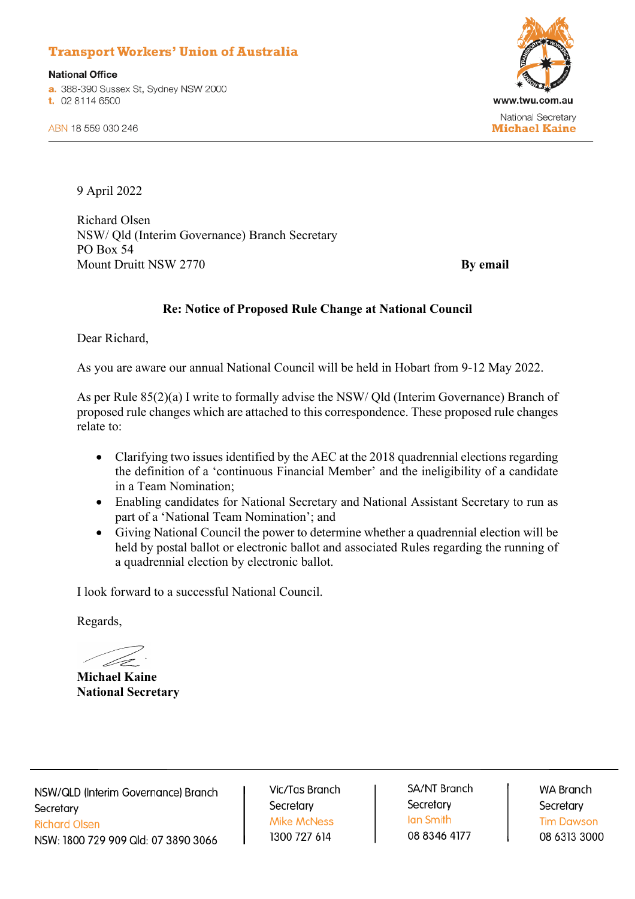# **Transport Workers' Union of Australia**

**National Office** a. 388-390 Sussex St, Sydney NSW 2000 t. 02 8114 6500



ABN 18 559 030 246

9 April 2022

Richard Olsen NSW/ Qld (Interim Governance) Branch Secretary PO Box 54 Mount Druitt NSW 2770 **By email** 

## **Re: Notice of Proposed Rule Change at National Council**

Dear Richard,

As you are aware our annual National Council will be held in Hobart from 9-12 May 2022.

As per Rule 85(2)(a) I write to formally advise the NSW/ Qld (Interim Governance) Branch of proposed rule changes which are attached to this correspondence. These proposed rule changes relate to:

- Clarifying two issues identified by the AEC at the 2018 quadrennial elections regarding the definition of a 'continuous Financial Member' and the ineligibility of a candidate in a Team Nomination;
- Enabling candidates for National Secretary and National Assistant Secretary to run as part of a 'National Team Nomination'; and
- Giving National Council the power to determine whether a quadrennial election will be held by postal ballot or electronic ballot and associated Rules regarding the running of a quadrennial election by electronic ballot.

I look forward to a successful National Council.

Regards,

**Michael Kaine National Secretary**

NSW/QLD (Interim Governance) Branch Secretary **Richard Olsen** NSW: 1800 729 909 Qld: 07 3890 3066

Vic/Tas Branch Secretary **Mike McNess** 1300 727 614

**SA/NT Branch** Secretary Ian Smith 08 8346 4177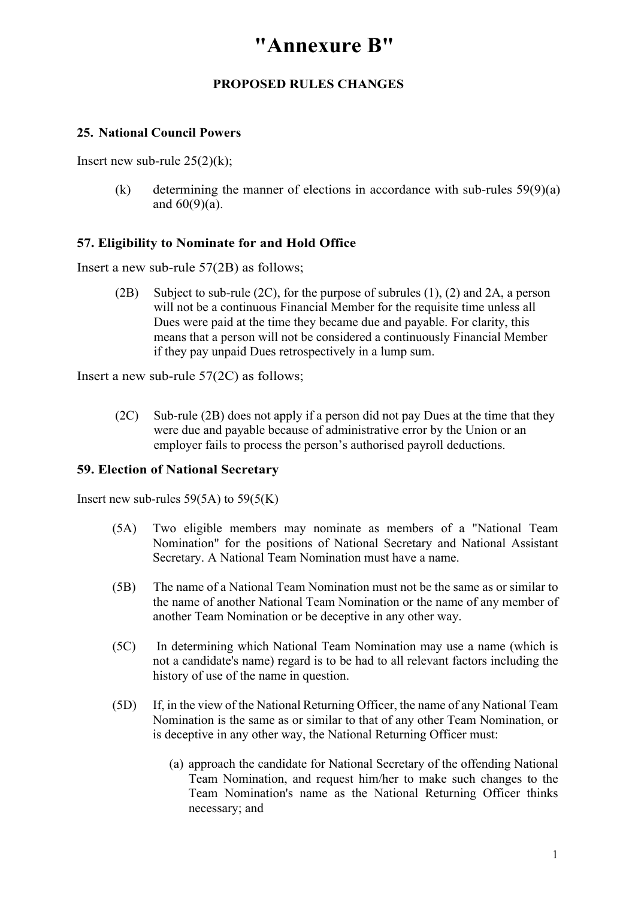# **"Annexure B"**

## **PROPOSED RULES CHANGES**

## **25. National Council Powers**

Insert new sub-rule  $25(2)(k)$ ;

(k) determining the manner of elections in accordance with sub-rules  $59(9)(a)$ and  $60(9)(a)$ .

### **57. Eligibility to Nominate for and Hold Office**

Insert a new sub-rule 57(2B) as follows;

(2B) Subject to sub-rule (2C), for the purpose of subrules (1), (2) and 2A, a person will not be a continuous Financial Member for the requisite time unless all Dues were paid at the time they became due and payable. For clarity, this means that a person will not be considered a continuously Financial Member if they pay unpaid Dues retrospectively in a lump sum.

Insert a new sub-rule 57(2C) as follows;

(2C) Sub-rule (2B) does not apply if a person did not pay Dues at the time that they were due and payable because of administrative error by the Union or an employer fails to process the person's authorised payroll deductions.

### **59. Election of National Secretary**

Insert new sub-rules  $59(5A)$  to  $59(5(K))$ 

- (5A) Two eligible members may nominate as members of a "National Team Nomination" for the positions of National Secretary and National Assistant Secretary. A National Team Nomination must have a name.
- (5B) The name of a National Team Nomination must not be the same as or similar to the name of another National Team Nomination or the name of any member of another Team Nomination or be deceptive in any other way.
- (5C) In determining which National Team Nomination may use a name (which is not a candidate's name) regard is to be had to all relevant factors including the history of use of the name in question.
- (5D) If, in the view of the National Returning Officer, the name of any National Team Nomination is the same as or similar to that of any other Team Nomination, or is deceptive in any other way, the National Returning Officer must:
	- (a) approach the candidate for National Secretary of the offending National Team Nomination, and request him/her to make such changes to the Team Nomination's name as the National Returning Officer thinks necessary; and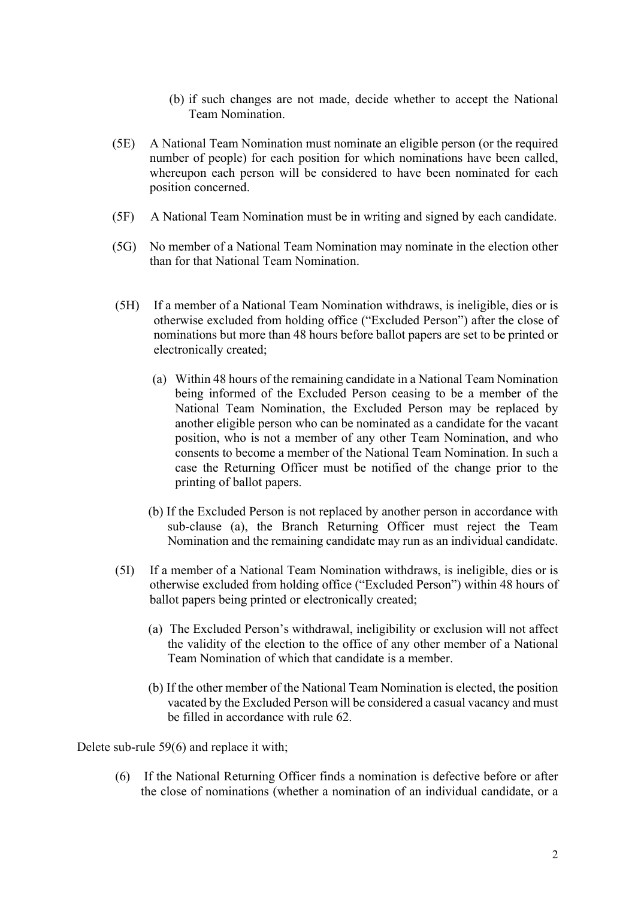- (b) if such changes are not made, decide whether to accept the National Team Nomination.
- (5E) A National Team Nomination must nominate an eligible person (or the required number of people) for each position for which nominations have been called, whereupon each person will be considered to have been nominated for each position concerned.
- (5F) A National Team Nomination must be in writing and signed by each candidate.
- (5G) No member of a National Team Nomination may nominate in the election other than for that National Team Nomination.
- (5H) If a member of a National Team Nomination withdraws, is ineligible, dies or is otherwise excluded from holding office ("Excluded Person") after the close of nominations but more than 48 hours before ballot papers are set to be printed or electronically created;
	- (a) Within 48 hours of the remaining candidate in a National Team Nomination being informed of the Excluded Person ceasing to be a member of the National Team Nomination, the Excluded Person may be replaced by another eligible person who can be nominated as a candidate for the vacant position, who is not a member of any other Team Nomination, and who consents to become a member of the National Team Nomination. In such a case the Returning Officer must be notified of the change prior to the printing of ballot papers.
	- (b) If the Excluded Person is not replaced by another person in accordance with sub-clause (a), the Branch Returning Officer must reject the Team Nomination and the remaining candidate may run as an individual candidate.
- (5I) If a member of a National Team Nomination withdraws, is ineligible, dies or is otherwise excluded from holding office ("Excluded Person") within 48 hours of ballot papers being printed or electronically created;
	- (a) The Excluded Person's withdrawal, ineligibility or exclusion will not affect the validity of the election to the office of any other member of a National Team Nomination of which that candidate is a member.
	- (b) If the other member of the National Team Nomination is elected, the position vacated by the Excluded Person will be considered a casual vacancy and must be filled in accordance with rule 62.

Delete sub-rule 59(6) and replace it with;

(6) If the National Returning Officer finds a nomination is defective before or after the close of nominations (whether a nomination of an individual candidate, or a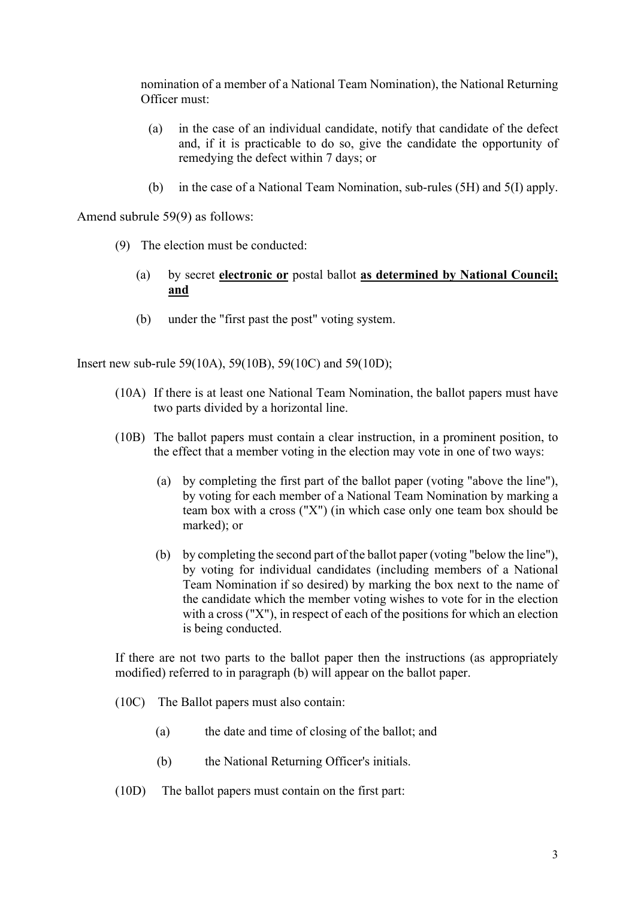nomination of a member of a National Team Nomination), the National Returning Officer must:

- (a) in the case of an individual candidate, notify that candidate of the defect and, if it is practicable to do so, give the candidate the opportunity of remedying the defect within 7 days; or
- (b) in the case of a National Team Nomination, sub-rules (5H) and 5(I) apply.

Amend subrule 59(9) as follows:

- (9) The election must be conducted:
	- (a) by secret **electronic or** postal ballot **as determined by National Council; and**
	- (b) under the "first past the post" voting system.

Insert new sub-rule 59(10A), 59(10B), 59(10C) and 59(10D);

- (10A) If there is at least one National Team Nomination, the ballot papers must have two parts divided by a horizontal line.
- (10B) The ballot papers must contain a clear instruction, in a prominent position, to the effect that a member voting in the election may vote in one of two ways:
	- (a) by completing the first part of the ballot paper (voting "above the line"), by voting for each member of a National Team Nomination by marking a team box with a cross ("X") (in which case only one team box should be marked); or
	- (b) by completing the second part of the ballot paper (voting "below the line"), by voting for individual candidates (including members of a National Team Nomination if so desired) by marking the box next to the name of the candidate which the member voting wishes to vote for in the election with a cross ("X"), in respect of each of the positions for which an election is being conducted.

If there are not two parts to the ballot paper then the instructions (as appropriately modified) referred to in paragraph (b) will appear on the ballot paper.

- (10C) The Ballot papers must also contain:
	- (a) the date and time of closing of the ballot; and
	- (b) the National Returning Officer's initials.
- (10D) The ballot papers must contain on the first part: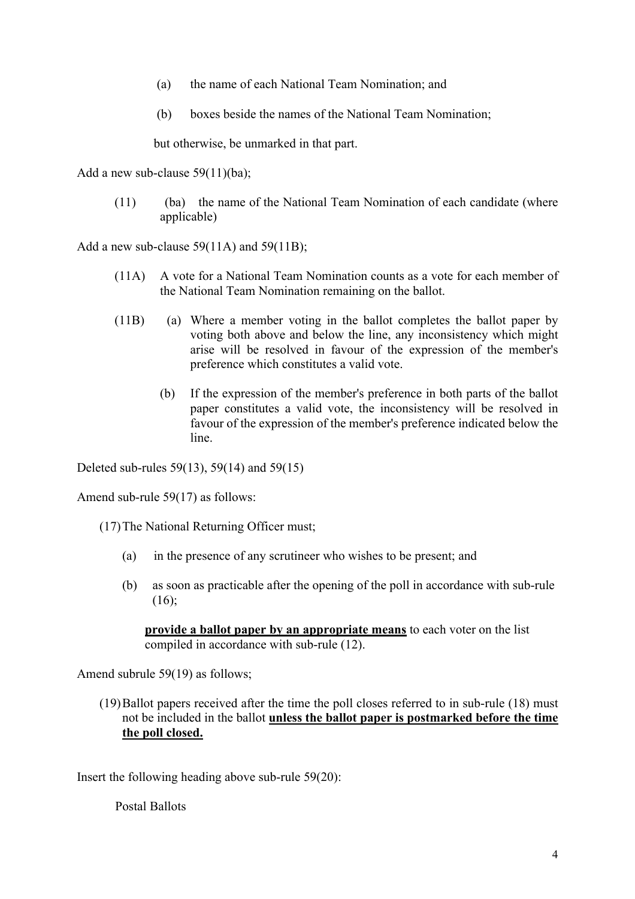- (a) the name of each National Team Nomination; and
- (b) boxes beside the names of the National Team Nomination;

but otherwise, be unmarked in that part.

Add a new sub-clause 59(11)(ba);

(11) (ba) the name of the National Team Nomination of each candidate (where applicable)

Add a new sub-clause 59(11A) and 59(11B);

- (11A) A vote for a National Team Nomination counts as a vote for each member of the National Team Nomination remaining on the ballot.
- (11B) (a) Where a member voting in the ballot completes the ballot paper by voting both above and below the line, any inconsistency which might arise will be resolved in favour of the expression of the member's preference which constitutes a valid vote.
	- (b) If the expression of the member's preference in both parts of the ballot paper constitutes a valid vote, the inconsistency will be resolved in favour of the expression of the member's preference indicated below the line.

Deleted sub-rules 59(13), 59(14) and 59(15)

Amend sub-rule 59(17) as follows:

(17)The National Returning Officer must;

- (a) in the presence of any scrutineer who wishes to be present; and
- (b) as soon as practicable after the opening of the poll in accordance with sub-rule  $(16);$

**provide a ballot paper by an appropriate means** to each voter on the list compiled in accordance with sub-rule (12).

Amend subrule 59(19) as follows;

(19)Ballot papers received after the time the poll closes referred to in sub-rule (18) must not be included in the ballot **unless the ballot paper is postmarked before the time the poll closed.**

Insert the following heading above sub-rule 59(20):

Postal Ballots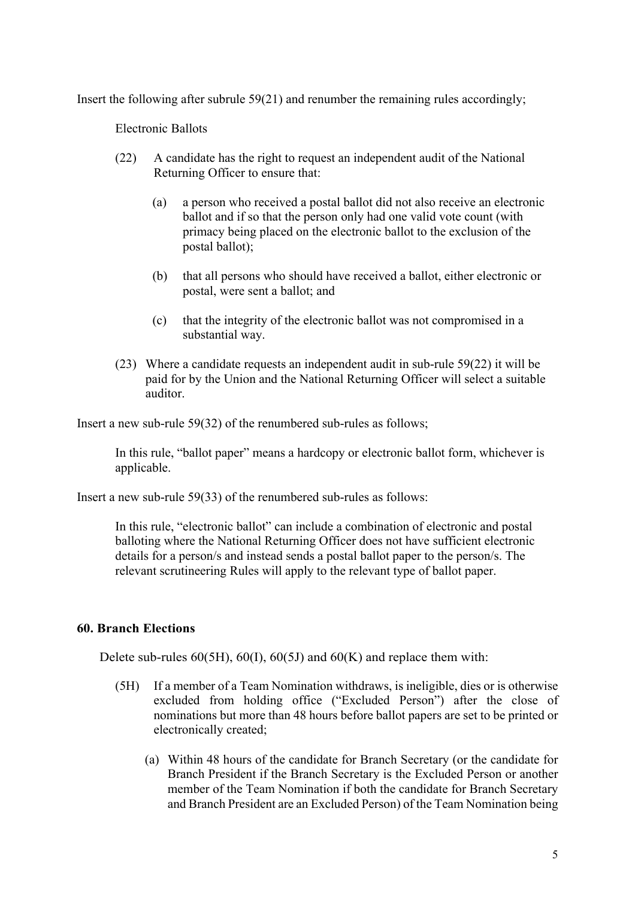Insert the following after subrule 59(21) and renumber the remaining rules accordingly;

Electronic Ballots

- (22) A candidate has the right to request an independent audit of the National Returning Officer to ensure that:
	- (a) a person who received a postal ballot did not also receive an electronic ballot and if so that the person only had one valid vote count (with primacy being placed on the electronic ballot to the exclusion of the postal ballot);
	- (b) that all persons who should have received a ballot, either electronic or postal, were sent a ballot; and
	- (c) that the integrity of the electronic ballot was not compromised in a substantial way.
- (23) Where a candidate requests an independent audit in sub-rule 59(22) it will be paid for by the Union and the National Returning Officer will select a suitable auditor.

Insert a new sub-rule 59(32) of the renumbered sub-rules as follows;

In this rule, "ballot paper" means a hardcopy or electronic ballot form, whichever is applicable.

Insert a new sub-rule 59(33) of the renumbered sub-rules as follows:

In this rule, "electronic ballot" can include a combination of electronic and postal balloting where the National Returning Officer does not have sufficient electronic details for a person/s and instead sends a postal ballot paper to the person/s. The relevant scrutineering Rules will apply to the relevant type of ballot paper.

#### **60. Branch Elections**

Delete sub-rules  $60(5H)$ ,  $60(1)$ ,  $60(5J)$  and  $60(K)$  and replace them with:

- (5H) If a member of a Team Nomination withdraws, is ineligible, dies or is otherwise excluded from holding office ("Excluded Person") after the close of nominations but more than 48 hours before ballot papers are set to be printed or electronically created;
	- (a) Within 48 hours of the candidate for Branch Secretary (or the candidate for Branch President if the Branch Secretary is the Excluded Person or another member of the Team Nomination if both the candidate for Branch Secretary and Branch President are an Excluded Person) of the Team Nomination being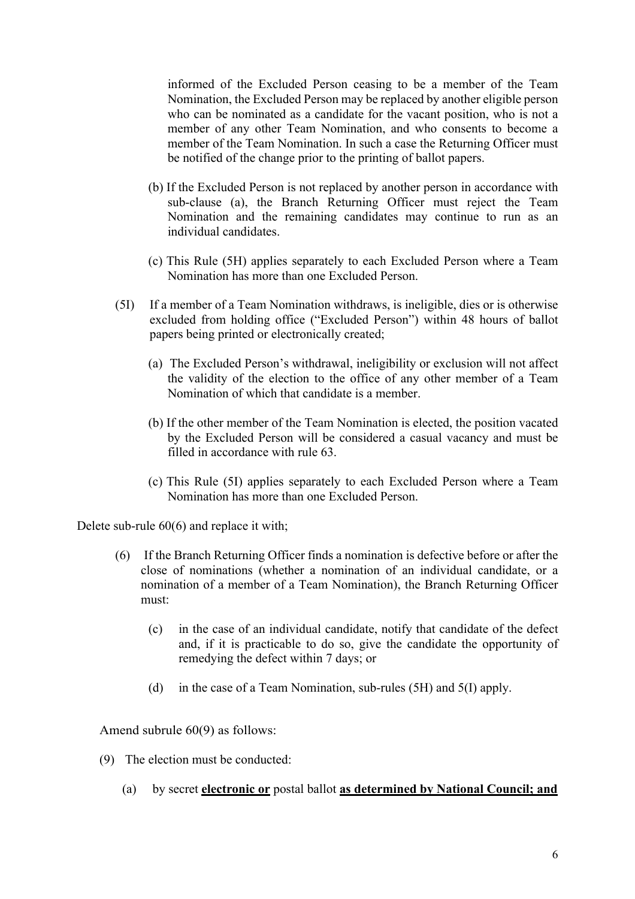informed of the Excluded Person ceasing to be a member of the Team Nomination, the Excluded Person may be replaced by another eligible person who can be nominated as a candidate for the vacant position, who is not a member of any other Team Nomination, and who consents to become a member of the Team Nomination. In such a case the Returning Officer must be notified of the change prior to the printing of ballot papers.

- (b) If the Excluded Person is not replaced by another person in accordance with sub-clause (a), the Branch Returning Officer must reject the Team Nomination and the remaining candidates may continue to run as an individual candidates.
- (c) This Rule (5H) applies separately to each Excluded Person where a Team Nomination has more than one Excluded Person.
- (5I) If a member of a Team Nomination withdraws, is ineligible, dies or is otherwise excluded from holding office ("Excluded Person") within 48 hours of ballot papers being printed or electronically created;
	- (a) The Excluded Person's withdrawal, ineligibility or exclusion will not affect the validity of the election to the office of any other member of a Team Nomination of which that candidate is a member.
	- (b) If the other member of the Team Nomination is elected, the position vacated by the Excluded Person will be considered a casual vacancy and must be filled in accordance with rule 63.
	- (c) This Rule (5I) applies separately to each Excluded Person where a Team Nomination has more than one Excluded Person.

Delete sub-rule 60(6) and replace it with;

- (6) If the Branch Returning Officer finds a nomination is defective before or after the close of nominations (whether a nomination of an individual candidate, or a nomination of a member of a Team Nomination), the Branch Returning Officer must:
	- (c) in the case of an individual candidate, notify that candidate of the defect and, if it is practicable to do so, give the candidate the opportunity of remedying the defect within 7 days; or
	- (d) in the case of a Team Nomination, sub-rules (5H) and 5(I) apply.

Amend subrule 60(9) as follows:

- (9) The election must be conducted:
	- (a) by secret **electronic or** postal ballot **as determined by National Council; and**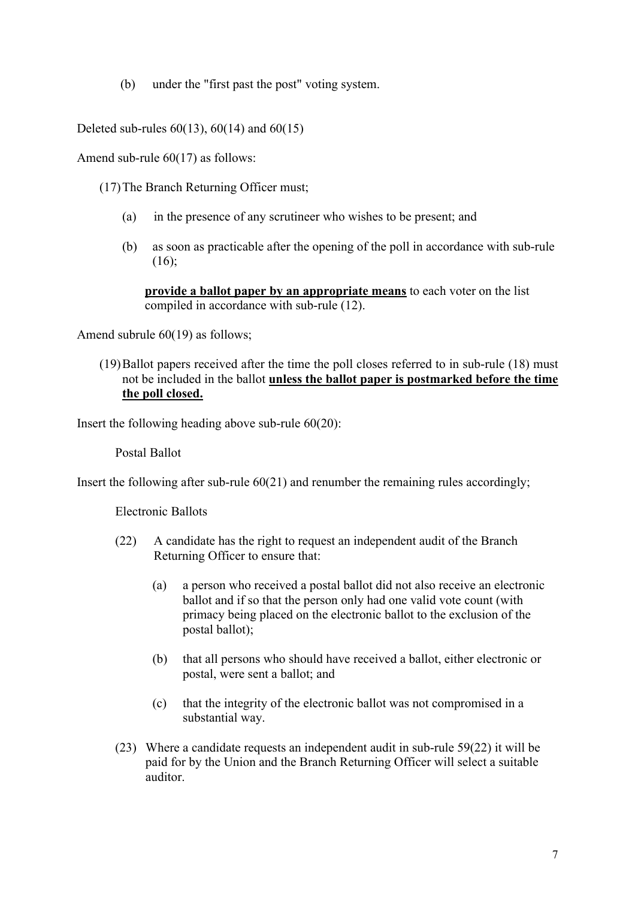(b) under the "first past the post" voting system.

Deleted sub-rules  $60(13)$ ,  $60(14)$  and  $60(15)$ 

Amend sub-rule 60(17) as follows:

- (17)The Branch Returning Officer must;
	- (a) in the presence of any scrutineer who wishes to be present; and
	- (b) as soon as practicable after the opening of the poll in accordance with sub-rule (16);

**provide a ballot paper by an appropriate means** to each voter on the list compiled in accordance with sub-rule (12).

Amend subrule 60(19) as follows;

(19)Ballot papers received after the time the poll closes referred to in sub-rule (18) must not be included in the ballot **unless the ballot paper is postmarked before the time the poll closed.**

Insert the following heading above sub-rule 60(20):

Postal Ballot

Insert the following after sub-rule 60(21) and renumber the remaining rules accordingly;

Electronic Ballots

- (22) A candidate has the right to request an independent audit of the Branch Returning Officer to ensure that:
	- (a) a person who received a postal ballot did not also receive an electronic ballot and if so that the person only had one valid vote count (with primacy being placed on the electronic ballot to the exclusion of the postal ballot);
	- (b) that all persons who should have received a ballot, either electronic or postal, were sent a ballot; and
	- (c) that the integrity of the electronic ballot was not compromised in a substantial way.
- (23) Where a candidate requests an independent audit in sub-rule 59(22) it will be paid for by the Union and the Branch Returning Officer will select a suitable auditor.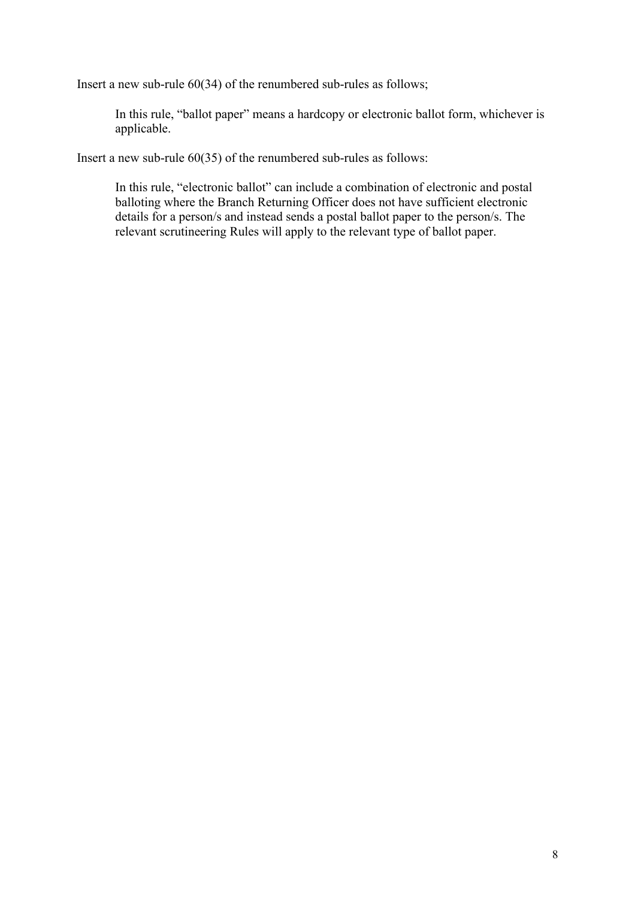Insert a new sub-rule 60(34) of the renumbered sub-rules as follows;

In this rule, "ballot paper" means a hardcopy or electronic ballot form, whichever is applicable.

Insert a new sub-rule 60(35) of the renumbered sub-rules as follows:

In this rule, "electronic ballot" can include a combination of electronic and postal balloting where the Branch Returning Officer does not have sufficient electronic details for a person/s and instead sends a postal ballot paper to the person/s. The relevant scrutineering Rules will apply to the relevant type of ballot paper.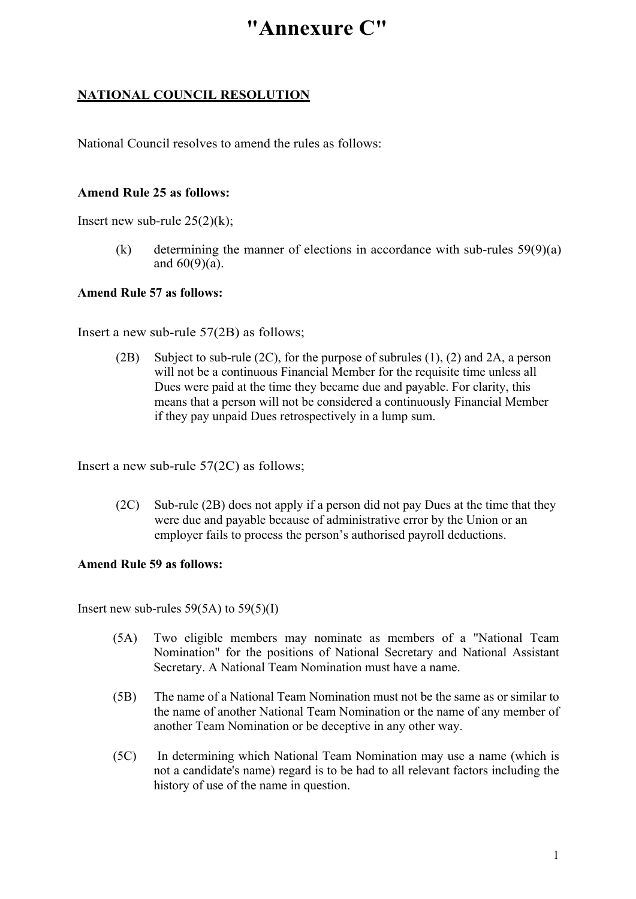# **"Annexure C"**

# **NATIONAL COUNCIL RESOLUTION**

National Council resolves to amend the rules as follows:

## **Amend Rule 25 as follows:**

Insert new sub-rule  $25(2)(k)$ ;

(k) determining the manner of elections in accordance with sub-rules  $59(9)(a)$ and  $60(9)(a)$ .

### **Amend Rule 57 as follows:**

Insert a new sub-rule 57(2B) as follows;

(2B) Subject to sub-rule (2C), for the purpose of subrules (1), (2) and 2A, a person will not be a continuous Financial Member for the requisite time unless all Dues were paid at the time they became due and payable. For clarity, this means that a person will not be considered a continuously Financial Member if they pay unpaid Dues retrospectively in a lump sum.

Insert a new sub-rule 57(2C) as follows;

(2C) Sub-rule (2B) does not apply if a person did not pay Dues at the time that they were due and payable because of administrative error by the Union or an employer fails to process the person's authorised payroll deductions.

### **Amend Rule 59 as follows:**

Insert new sub-rules  $59(5A)$  to  $59(5)(I)$ 

- (5A) Two eligible members may nominate as members of a "National Team Nomination" for the positions of National Secretary and National Assistant Secretary. A National Team Nomination must have a name.
- (5B) The name of a National Team Nomination must not be the same as or similar to the name of another National Team Nomination or the name of any member of another Team Nomination or be deceptive in any other way.
- (5C) In determining which National Team Nomination may use a name (which is not a candidate's name) regard is to be had to all relevant factors including the history of use of the name in question.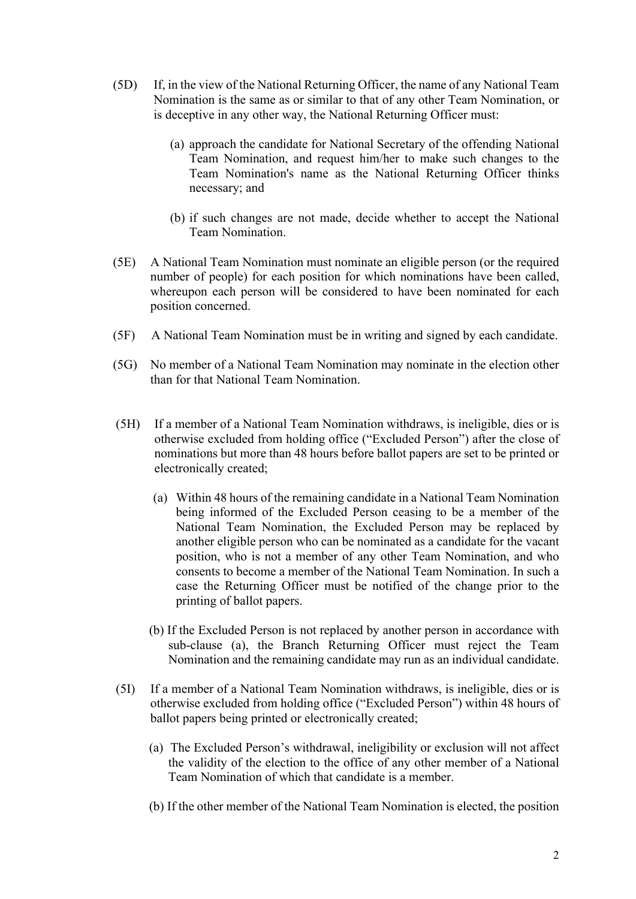- (5D) If, in the view of the National Returning Officer, the name of any National Team Nomination is the same as or similar to that of any other Team Nomination, or is deceptive in any other way, the National Returning Officer must:
	- (a) approach the candidate for National Secretary of the offending National Team Nomination, and request him/her to make such changes to the Team Nomination's name as the National Returning Officer thinks necessary; and
	- (b) if such changes are not made, decide whether to accept the National Team Nomination.
- (5E) A National Team Nomination must nominate an eligible person (or the required number of people) for each position for which nominations have been called, whereupon each person will be considered to have been nominated for each position concerned.
- (5F) A National Team Nomination must be in writing and signed by each candidate.
- (5G) No member of a National Team Nomination may nominate in the election other than for that National Team Nomination.
- (5H) If a member of a National Team Nomination withdraws, is ineligible, dies or is otherwise excluded from holding office ("Excluded Person") after the close of nominations but more than 48 hours before ballot papers are set to be printed or electronically created;
	- (a) Within 48 hours of the remaining candidate in a National Team Nomination being informed of the Excluded Person ceasing to be a member of the National Team Nomination, the Excluded Person may be replaced by another eligible person who can be nominated as a candidate for the vacant position, who is not a member of any other Team Nomination, and who consents to become a member of the National Team Nomination. In such a case the Returning Officer must be notified of the change prior to the printing of ballot papers.
	- (b) If the Excluded Person is not replaced by another person in accordance with sub-clause (a), the Branch Returning Officer must reject the Team Nomination and the remaining candidate may run as an individual candidate.
- (5I) If a member of a National Team Nomination withdraws, is ineligible, dies or is otherwise excluded from holding office ("Excluded Person") within 48 hours of ballot papers being printed or electronically created;
	- (a) The Excluded Person's withdrawal, ineligibility or exclusion will not affect the validity of the election to the office of any other member of a National Team Nomination of which that candidate is a member.
	- (b) If the other member of the National Team Nomination is elected, the position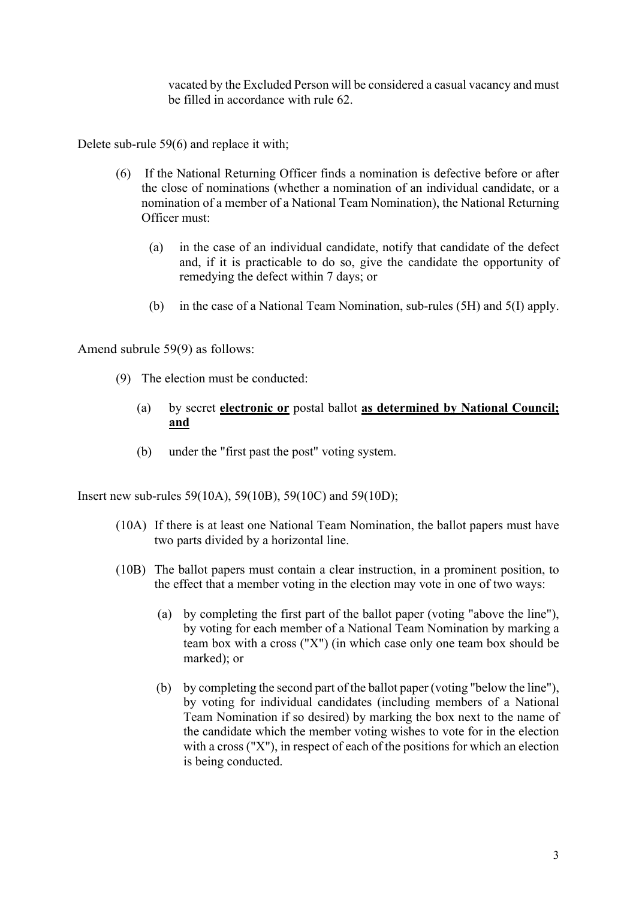vacated by the Excluded Person will be considered a casual vacancy and must be filled in accordance with rule 62.

Delete sub-rule 59(6) and replace it with;

- (6) If the National Returning Officer finds a nomination is defective before or after the close of nominations (whether a nomination of an individual candidate, or a nomination of a member of a National Team Nomination), the National Returning Officer must:
	- (a) in the case of an individual candidate, notify that candidate of the defect and, if it is practicable to do so, give the candidate the opportunity of remedying the defect within 7 days; or
	- (b) in the case of a National Team Nomination, sub-rules (5H) and 5(I) apply.

Amend subrule 59(9) as follows:

- (9) The election must be conducted:
	- (a) by secret **electronic or** postal ballot **as determined by National Council; and**
	- (b) under the "first past the post" voting system.

Insert new sub-rules 59(10A), 59(10B), 59(10C) and 59(10D);

- (10A) If there is at least one National Team Nomination, the ballot papers must have two parts divided by a horizontal line.
- (10B) The ballot papers must contain a clear instruction, in a prominent position, to the effect that a member voting in the election may vote in one of two ways:
	- (a) by completing the first part of the ballot paper (voting "above the line"), by voting for each member of a National Team Nomination by marking a team box with a cross ("X") (in which case only one team box should be marked); or
	- (b) by completing the second part of the ballot paper (voting "below the line"), by voting for individual candidates (including members of a National Team Nomination if so desired) by marking the box next to the name of the candidate which the member voting wishes to vote for in the election with a cross ("X"), in respect of each of the positions for which an election is being conducted.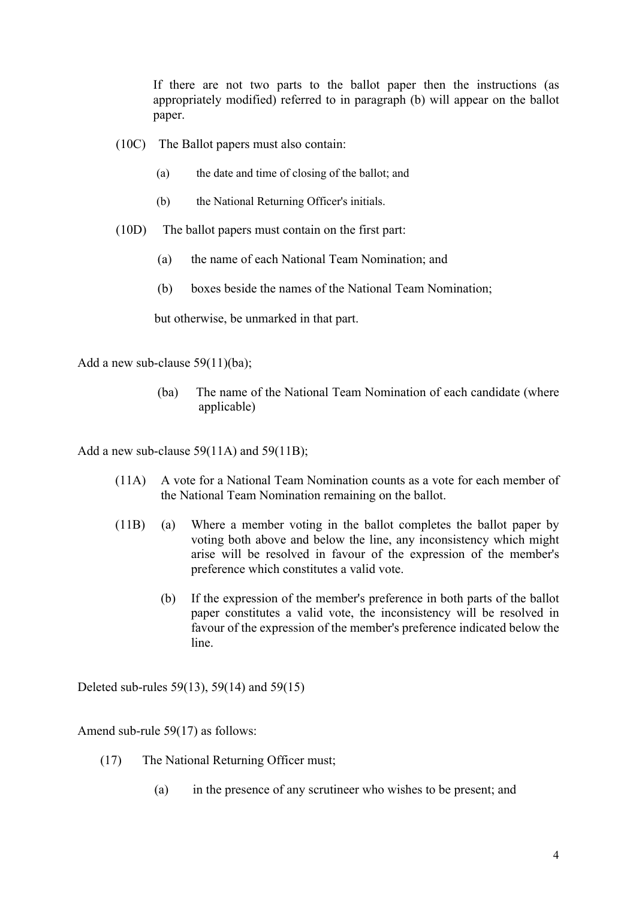If there are not two parts to the ballot paper then the instructions (as appropriately modified) referred to in paragraph (b) will appear on the ballot paper.

- (10C) The Ballot papers must also contain:
	- (a) the date and time of closing of the ballot; and
	- (b) the National Returning Officer's initials.
- (10D) The ballot papers must contain on the first part:
	- (a) the name of each National Team Nomination; and
	- (b) boxes beside the names of the National Team Nomination;

but otherwise, be unmarked in that part.

Add a new sub-clause 59(11)(ba);

(ba) The name of the National Team Nomination of each candidate (where applicable)

Add a new sub-clause 59(11A) and 59(11B);

- (11A) A vote for a National Team Nomination counts as a vote for each member of the National Team Nomination remaining on the ballot.
- (11B) (a) Where a member voting in the ballot completes the ballot paper by voting both above and below the line, any inconsistency which might arise will be resolved in favour of the expression of the member's preference which constitutes a valid vote.
	- (b) If the expression of the member's preference in both parts of the ballot paper constitutes a valid vote, the inconsistency will be resolved in favour of the expression of the member's preference indicated below the line.

Deleted sub-rules 59(13), 59(14) and 59(15)

Amend sub-rule 59(17) as follows:

- (17) The National Returning Officer must;
	- (a) in the presence of any scrutineer who wishes to be present; and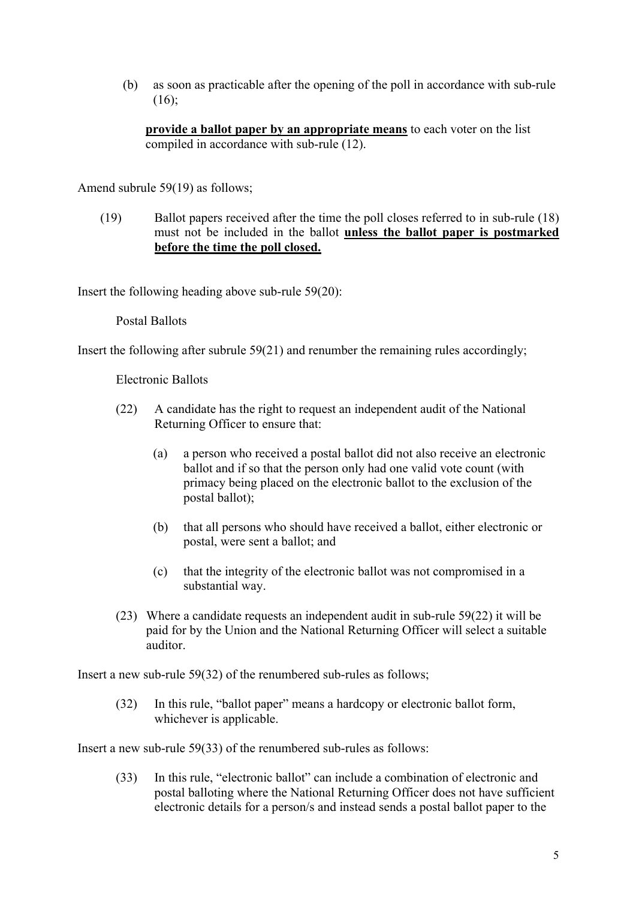(b) as soon as practicable after the opening of the poll in accordance with sub-rule (16);

**provide a ballot paper by an appropriate means** to each voter on the list compiled in accordance with sub-rule (12).

Amend subrule 59(19) as follows;

(19) Ballot papers received after the time the poll closes referred to in sub-rule (18) must not be included in the ballot **unless the ballot paper is postmarked before the time the poll closed.**

Insert the following heading above sub-rule 59(20):

#### Postal Ballots

Insert the following after subrule  $59(21)$  and renumber the remaining rules accordingly;

Electronic Ballots

- (22) A candidate has the right to request an independent audit of the National Returning Officer to ensure that:
	- (a) a person who received a postal ballot did not also receive an electronic ballot and if so that the person only had one valid vote count (with primacy being placed on the electronic ballot to the exclusion of the postal ballot);
	- (b) that all persons who should have received a ballot, either electronic or postal, were sent a ballot; and
	- (c) that the integrity of the electronic ballot was not compromised in a substantial way.
- (23) Where a candidate requests an independent audit in sub-rule 59(22) it will be paid for by the Union and the National Returning Officer will select a suitable auditor.

Insert a new sub-rule 59(32) of the renumbered sub-rules as follows;

(32) In this rule, "ballot paper" means a hardcopy or electronic ballot form, whichever is applicable.

Insert a new sub-rule 59(33) of the renumbered sub-rules as follows:

(33) In this rule, "electronic ballot" can include a combination of electronic and postal balloting where the National Returning Officer does not have sufficient electronic details for a person/s and instead sends a postal ballot paper to the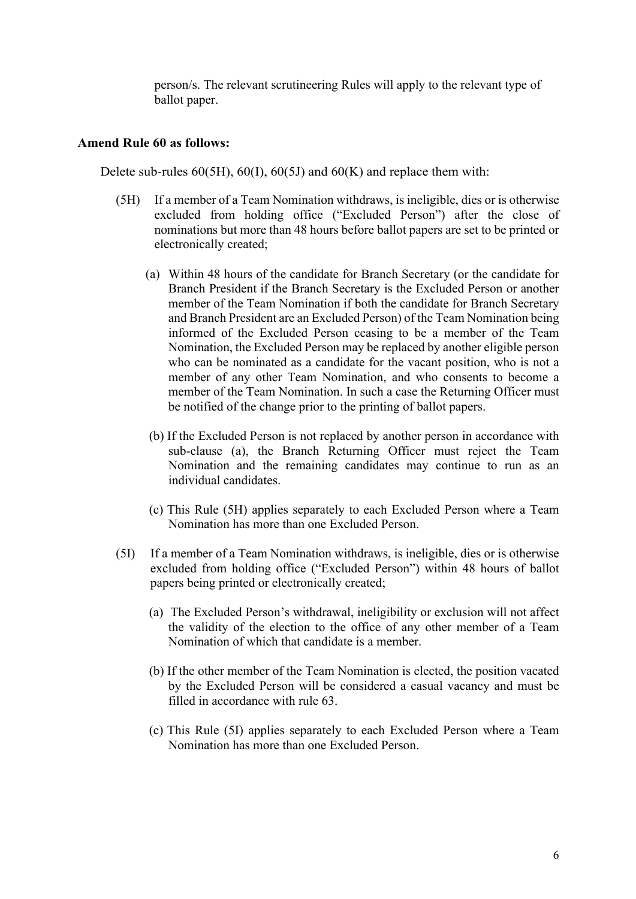person/s. The relevant scrutineering Rules will apply to the relevant type of ballot paper.

#### **Amend Rule 60 as follows:**

Delete sub-rules  $60(5H)$ ,  $60(I)$ ,  $60(5J)$  and  $60(K)$  and replace them with:

- (5H) If a member of a Team Nomination withdraws, is ineligible, dies or is otherwise excluded from holding office ("Excluded Person") after the close of nominations but more than 48 hours before ballot papers are set to be printed or electronically created;
	- (a) Within 48 hours of the candidate for Branch Secretary (or the candidate for Branch President if the Branch Secretary is the Excluded Person or another member of the Team Nomination if both the candidate for Branch Secretary and Branch President are an Excluded Person) of the Team Nomination being informed of the Excluded Person ceasing to be a member of the Team Nomination, the Excluded Person may be replaced by another eligible person who can be nominated as a candidate for the vacant position, who is not a member of any other Team Nomination, and who consents to become a member of the Team Nomination. In such a case the Returning Officer must be notified of the change prior to the printing of ballot papers.
	- (b) If the Excluded Person is not replaced by another person in accordance with sub-clause (a), the Branch Returning Officer must reject the Team Nomination and the remaining candidates may continue to run as an individual candidates.
	- (c) This Rule (5H) applies separately to each Excluded Person where a Team Nomination has more than one Excluded Person.
- (5I) If a member of a Team Nomination withdraws, is ineligible, dies or is otherwise excluded from holding office ("Excluded Person") within 48 hours of ballot papers being printed or electronically created;
	- (a) The Excluded Person's withdrawal, ineligibility or exclusion will not affect the validity of the election to the office of any other member of a Team Nomination of which that candidate is a member.
	- (b) If the other member of the Team Nomination is elected, the position vacated by the Excluded Person will be considered a casual vacancy and must be filled in accordance with rule 63.
	- (c) This Rule (5I) applies separately to each Excluded Person where a Team Nomination has more than one Excluded Person.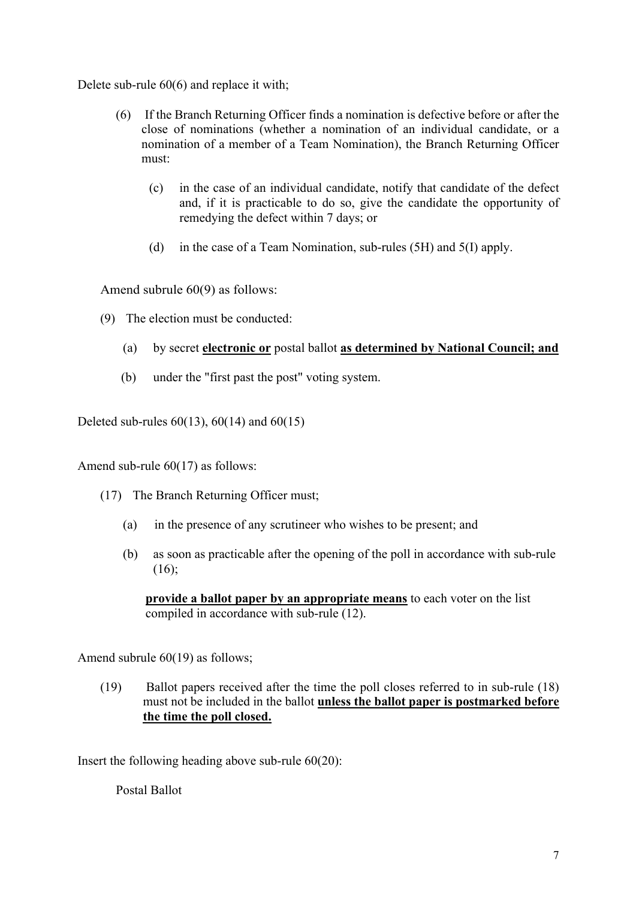Delete sub-rule 60(6) and replace it with;

- (6) If the Branch Returning Officer finds a nomination is defective before or after the close of nominations (whether a nomination of an individual candidate, or a nomination of a member of a Team Nomination), the Branch Returning Officer must:
	- (c) in the case of an individual candidate, notify that candidate of the defect and, if it is practicable to do so, give the candidate the opportunity of remedying the defect within 7 days; or
	- (d) in the case of a Team Nomination, sub-rules (5H) and 5(I) apply.

Amend subrule 60(9) as follows:

- (9) The election must be conducted:
	- (a) by secret **electronic or** postal ballot **as determined by National Council; and**
	- (b) under the "first past the post" voting system.

Deleted sub-rules  $60(13)$ ,  $60(14)$  and  $60(15)$ 

Amend sub-rule 60(17) as follows:

- (17) The Branch Returning Officer must;
	- (a) in the presence of any scrutineer who wishes to be present; and
	- (b) as soon as practicable after the opening of the poll in accordance with sub-rule (16);

**provide a ballot paper by an appropriate means** to each voter on the list compiled in accordance with sub-rule (12).

Amend subrule 60(19) as follows;

(19) Ballot papers received after the time the poll closes referred to in sub-rule (18) must not be included in the ballot **unless the ballot paper is postmarked before the time the poll closed.**

Insert the following heading above sub-rule 60(20):

Postal Ballot